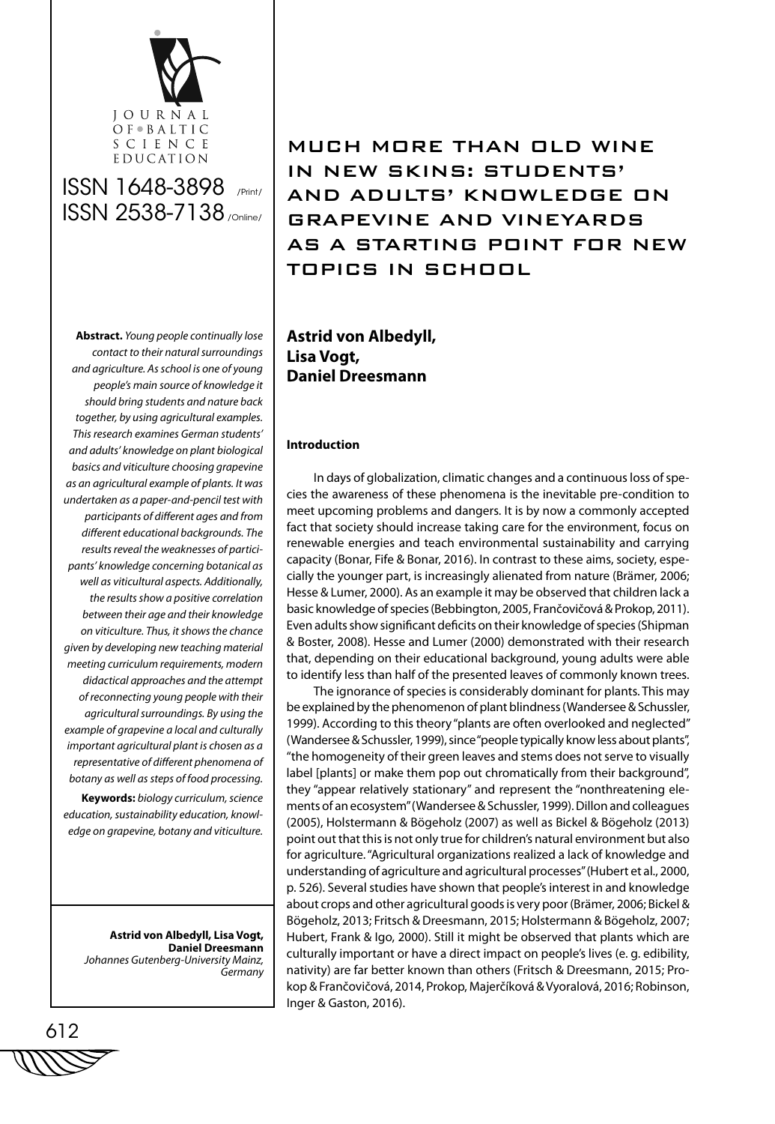

MUCH MORE THAN OLD WINE IN NEW SKINS: STUDENTS' AND ADULTS' KNOWLEDGE ON GRAPEVINE AND VINEYARDS AS A STARTING POINT FOR NEW TOPICS IN SCHOOL

**Abstract.** *Young people continually lose contact to their natural surroundings and agriculture. As school is one of young people's main source of knowledge it should bring students and nature back together, by using agricultural examples. This research examines German students' and adults' knowledge on plant biological basics and viticulture choosing grapevine as an agricultural example of plants. It was undertaken as a paper-and-pencil test with participants of different ages and from different educational backgrounds. The results reveal the weaknesses of participants' knowledge concerning botanical as well as viticultural aspects. Additionally, the results show a positive correlation between their age and their knowledge on viticulture. Thus, it shows the chance given by developing new teaching material meeting curriculum requirements, modern didactical approaches and the attempt of reconnecting young people with their agricultural surroundings. By using the example of grapevine a local and culturally important agricultural plant is chosen as a representative of different phenomena of botany as well as steps of food processing.*

**Keywords:** *biology curriculum, science education, sustainability education, knowledge on grapevine, botany and viticulture.* 

**Astrid von Albedyll, Lisa Vogt, Daniel Dreesmann** *Johannes Gutenberg-University Mainz, Germany*

**Astrid von Albedyll, Lisa Vogt, Daniel Dreesmann**

# **Introduction**

In days of globalization, climatic changes and a continuous loss of species the awareness of these phenomena is the inevitable pre-condition to meet upcoming problems and dangers. It is by now a commonly accepted fact that society should increase taking care for the environment, focus on renewable energies and teach environmental sustainability and carrying capacity (Bonar, Fife & Bonar, 2016). In contrast to these aims, society, especially the younger part, is increasingly alienated from nature (Brämer, 2006; Hesse & Lumer, 2000). As an example it may be observed that children lack a basic knowledge of species (Bebbington, 2005, Frančovičová & Prokop, 2011). Even adults show significant deficits on their knowledge of species (Shipman & Boster, 2008). Hesse and Lumer (2000) demonstrated with their research that, depending on their educational background, young adults were able to identify less than half of the presented leaves of commonly known trees.

The ignorance of species is considerably dominant for plants. This may be explained by the phenomenon of plant blindness (Wandersee & Schussler, 1999). According to this theory "plants are often overlooked and neglected" (Wandersee & Schussler, 1999), since "people typically know less about plants", "the homogeneity of their green leaves and stems does not serve to visually label [plants] or make them pop out chromatically from their background", they "appear relatively stationary" and represent the "nonthreatening elements of an ecosystem" (Wandersee & Schussler, 1999). Dillon and colleagues (2005), Holstermann & Bögeholz (2007) as well as Bickel & Bögeholz (2013) point out that this is not only true for children's natural environment but also for agriculture. "Agricultural organizations realized a lack of knowledge and understanding of agriculture and agricultural processes" (Hubert et al., 2000, p. 526). Several studies have shown that people's interest in and knowledge about crops and other agricultural goods is very poor (Brämer, 2006; Bickel & Bögeholz, 2013; Fritsch & Dreesmann, 2015; Holstermann & Bögeholz, 2007; Hubert, Frank & Igo, 2000). Still it might be observed that plants which are culturally important or have a direct impact on people's lives (e. g. edibility, nativity) are far better known than others (Fritsch & Dreesmann, 2015; Prokop & Frančovičová, 2014, Prokop, Majerčíková & Vyoralová, 2016; Robinson, Inger & Gaston, 2016).

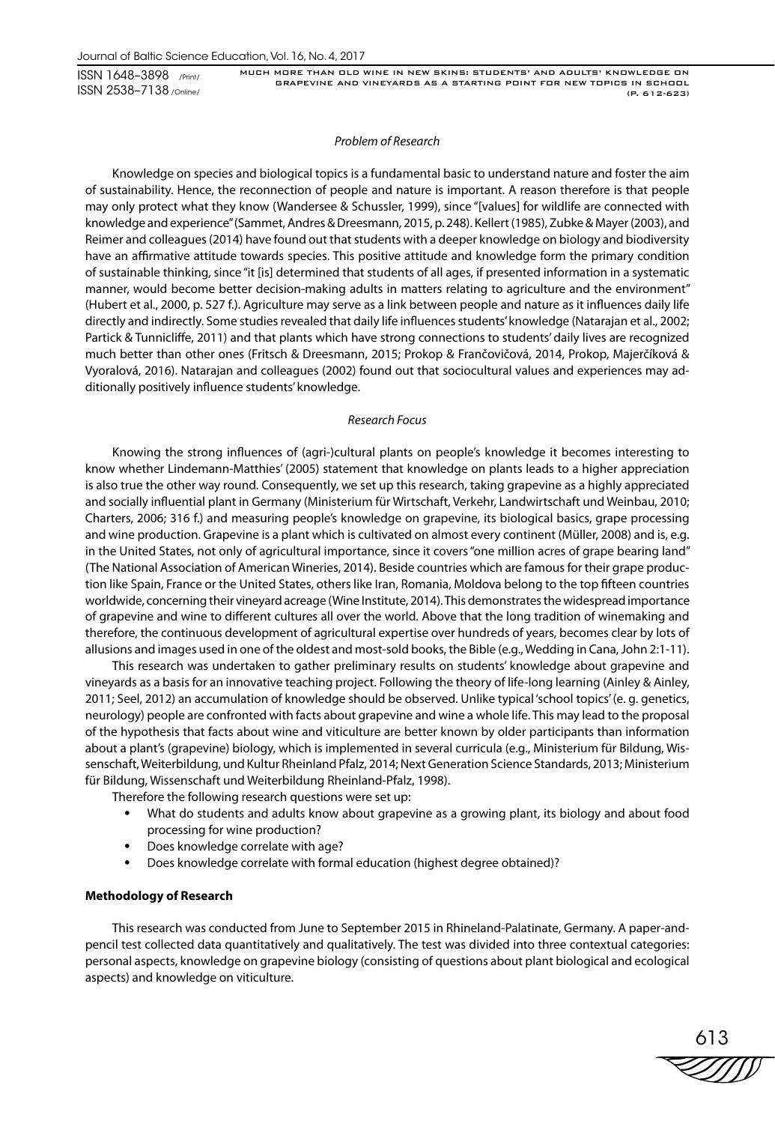MUCH MORE THAN OLD WINE IN NEW SKINS: STUDENTS' AND ADULTS' KNOWLEDGE ON GRAPEVINE AND VINEYARDS AS A STARTING POINT FOR NEW TOPICS IN SCHOOL (P. 612-623)

## *Problem of Research*

Knowledge on species and biological topics is a fundamental basic to understand nature and foster the aim of sustainability. Hence, the reconnection of people and nature is important. A reason therefore is that people may only protect what they know (Wandersee & Schussler, 1999), since "[values] for wildlife are connected with knowledge and experience" (Sammet, Andres & Dreesmann, 2015, p. 248). Kellert (1985), Zubke & Mayer (2003), and Reimer and colleagues (2014) have found out that students with a deeper knowledge on biology and biodiversity have an affirmative attitude towards species. This positive attitude and knowledge form the primary condition of sustainable thinking, since "it [is] determined that students of all ages, if presented information in a systematic manner, would become better decision-making adults in matters relating to agriculture and the environment" (Hubert et al., 2000, p. 527 f.). Agriculture may serve as a link between people and nature as it influences daily life directly and indirectly. Some studies revealed that daily life influences students' knowledge (Natarajan et al., 2002; Partick & Tunnicliffe, 2011) and that plants which have strong connections to students' daily lives are recognized much better than other ones (Fritsch & Dreesmann, 2015; Prokop & Frančovičová, 2014, Prokop, Majerčíková & Vyoralová, 2016). Natarajan and colleagues (2002) found out that sociocultural values and experiences may additionally positively influence students' knowledge.

## *Research Focus*

Knowing the strong influences of (agri-)cultural plants on people's knowledge it becomes interesting to know whether Lindemann-Matthies' (2005) statement that knowledge on plants leads to a higher appreciation is also true the other way round. Consequently, we set up this research, taking grapevine as a highly appreciated and socially influential plant in Germany (Ministerium für Wirtschaft, Verkehr, Landwirtschaft und Weinbau, 2010; Charters, 2006; 316 f.) and measuring people's knowledge on grapevine, its biological basics, grape processing and wine production. Grapevine is a plant which is cultivated on almost every continent (Müller, 2008) and is, e.g. in the United States, not only of agricultural importance, since it covers "one million acres of grape bearing land" (The National Association of American Wineries, 2014). Beside countries which are famous for their grape production like Spain, France or the United States, others like Iran, Romania, Moldova belong to the top fifteen countries worldwide, concerning their vineyard acreage (Wine Institute, 2014). This demonstrates the widespread importance of grapevine and wine to different cultures all over the world. Above that the long tradition of winemaking and therefore, the continuous development of agricultural expertise over hundreds of years, becomes clear by lots of allusions and images used in one of the oldest and most-sold books, the Bible (e.g., Wedding in Cana, John 2:1-11).

This research was undertaken to gather preliminary results on students' knowledge about grapevine and vineyards as a basis for an innovative teaching project. Following the theory of life-long learning (Ainley & Ainley, 2011; Seel, 2012) an accumulation of knowledge should be observed. Unlike typical 'school topics' (e. g. genetics, neurology) people are confronted with facts about grapevine and wine a whole life. This may lead to the proposal of the hypothesis that facts about wine and viticulture are better known by older participants than information about a plant's (grapevine) biology, which is implemented in several curricula (e.g., Ministerium für Bildung, Wissenschaft, Weiterbildung, und Kultur Rheinland Pfalz, 2014; Next Generation Science Standards, 2013; Ministerium für Bildung, Wissenschaft und Weiterbildung Rheinland-Pfalz, 1998).

Therefore the following research questions were set up:

- What do students and adults know about grapevine as a growing plant, its biology and about food processing for wine production?
- Does knowledge correlate with age?
- Does knowledge correlate with formal education (highest degree obtained)?

# **Methodology of Research**

This research was conducted from June to September 2015 in Rhineland-Palatinate, Germany. A paper-andpencil test collected data quantitatively and qualitatively. The test was divided into three contextual categories: personal aspects, knowledge on grapevine biology (consisting of questions about plant biological and ecological aspects) and knowledge on viticulture.

613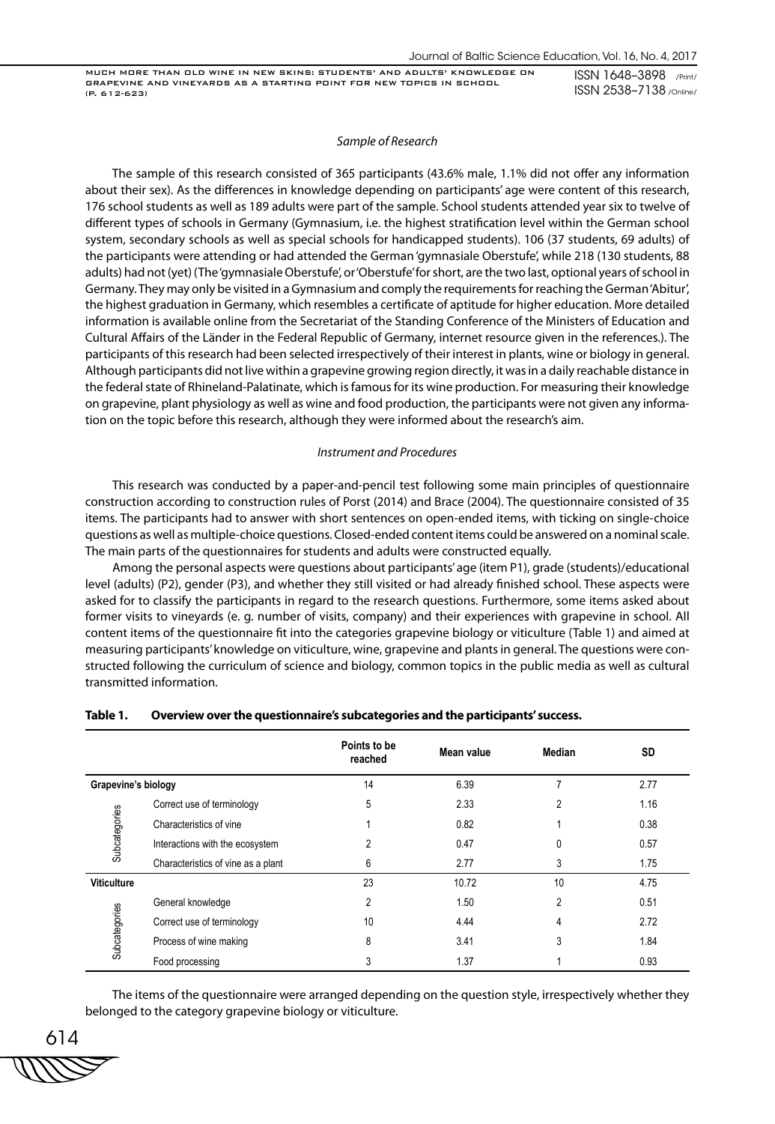#### *Sample of Research*

The sample of this research consisted of 365 participants (43.6% male, 1.1% did not offer any information about their sex). As the differences in knowledge depending on participants' age were content of this research, 176 school students as well as 189 adults were part of the sample. School students attended year six to twelve of different types of schools in Germany (Gymnasium, i.e. the highest stratification level within the German school system, secondary schools as well as special schools for handicapped students). 106 (37 students, 69 adults) of the participants were attending or had attended the German 'gymnasiale Oberstufe', while 218 (130 students, 88 adults) had not (yet) (The 'gymnasiale Oberstufe', or 'Oberstufe' for short, are the two last, optional years of school in Germany. They may only be visited in a Gymnasium and comply the requirements for reaching the German 'Abitur', the highest graduation in Germany, which resembles a certificate of aptitude for higher education. More detailed information is available online from the Secretariat of the Standing Conference of the Ministers of Education and Cultural Affairs of the Länder in the Federal Republic of Germany, internet resource given in the references.). The participants of this research had been selected irrespectively of their interest in plants, wine or biology in general. Although participants did not live within a grapevine growing region directly, it was in a daily reachable distance in the federal state of Rhineland-Palatinate, which is famous for its wine production. For measuring their knowledge on grapevine, plant physiology as well as wine and food production, the participants were not given any information on the topic before this research, although they were informed about the research's aim.

## *Instrument and Procedures*

This research was conducted by a paper-and-pencil test following some main principles of questionnaire construction according to construction rules of Porst (2014) and Brace (2004). The questionnaire consisted of 35 items. The participants had to answer with short sentences on open-ended items, with ticking on single-choice questions as well as multiple-choice questions. Closed-ended content items could be answered on a nominal scale. The main parts of the questionnaires for students and adults were constructed equally.

Among the personal aspects were questions about participants' age (item P1), grade (students)/educational level (adults) (P2), gender (P3), and whether they still visited or had already finished school. These aspects were asked for to classify the participants in regard to the research questions. Furthermore, some items asked about former visits to vineyards (e. g. number of visits, company) and their experiences with grapevine in school. All content items of the questionnaire fit into the categories grapevine biology or viticulture (Table 1) and aimed at measuring participants' knowledge on viticulture, wine, grapevine and plants in general. The questions were constructed following the curriculum of science and biology, common topics in the public media as well as cultural transmitted information.

|                     |                                    | Points to be<br>reached | Mean value | Median         | SD   |
|---------------------|------------------------------------|-------------------------|------------|----------------|------|
| Grapevine's biology |                                    | 14                      | 6.39       | 7              | 2.77 |
|                     | Correct use of terminology         | 5                       | 2.33       | $\overline{2}$ | 1.16 |
| Subcategories       | Characteristics of vine            |                         | 0.82       |                | 0.38 |
|                     | Interactions with the ecosystem    | 2                       | 0.47       | 0              | 0.57 |
|                     | Characteristics of vine as a plant | 6                       | 2.77       | 3              | 1.75 |
| <b>Viticulture</b>  |                                    | 23                      | 10.72      | 10             | 4.75 |
|                     | General knowledge                  | 2                       | 1.50       | $\overline{2}$ | 0.51 |
|                     | Correct use of terminology         | 10                      | 4.44       | 4              | 2.72 |
| Subcategories       | Process of wine making             | 8                       | 3.41       | 3              | 1.84 |
|                     | Food processing                    | 3                       | 1.37       |                | 0.93 |

#### **Table 1. Overview over the questionnaire's subcategories and the participants' success.**

The items of the questionnaire were arranged depending on the question style, irrespectively whether they belonged to the category grapevine biology or viticulture.

$$
\begin{array}{c}\n 614 \\
\hline\n 77772\n \end{array}
$$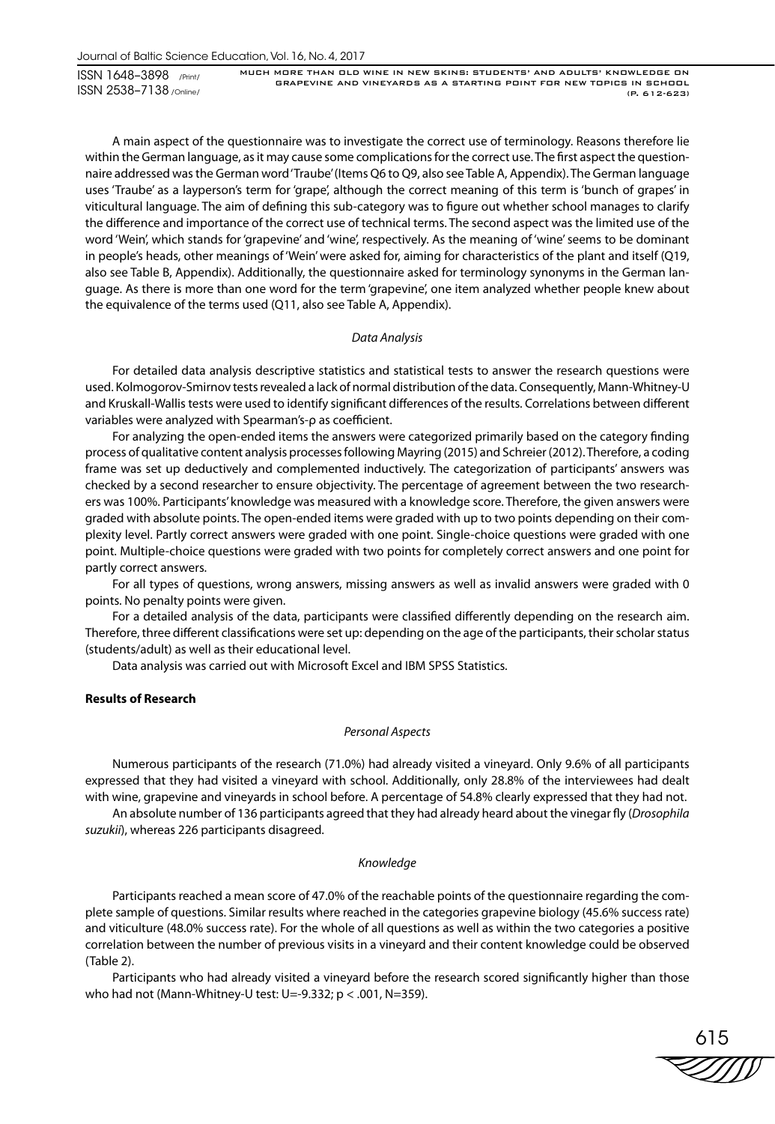MUCH MORE THAN OLD WINE IN NEW SKINS: STUDENTS' AND ADULTS' KNOWLEDGE ON GRAPEVINE AND VINEYARDS AS A STARTING POINT FOR NEW TOPICS IN SCHOOL (P. 612-623)

A main aspect of the questionnaire was to investigate the correct use of terminology. Reasons therefore lie within the German language, as it may cause some complications for the correct use. The first aspect the questionnaire addressed was the German word 'Traube' (Items Q6 to Q9, also see Table A, Appendix). The German language uses 'Traube' as a layperson's term for 'grape', although the correct meaning of this term is 'bunch of grapes' in viticultural language. The aim of defining this sub-category was to figure out whether school manages to clarify the difference and importance of the correct use of technical terms. The second aspect was the limited use of the word 'Wein', which stands for 'grapevine' and 'wine', respectively. As the meaning of 'wine' seems to be dominant in people's heads, other meanings of 'Wein' were asked for, aiming for characteristics of the plant and itself (Q19, also see Table B, Appendix). Additionally, the questionnaire asked for terminology synonyms in the German language. As there is more than one word for the term 'grapevine', one item analyzed whether people knew about the equivalence of the terms used (Q11, also see Table A, Appendix).

#### *Data Analysis*

For detailed data analysis descriptive statistics and statistical tests to answer the research questions were used. Kolmogorov-Smirnov tests revealed a lack of normal distribution of the data. Consequently, Mann-Whitney-U and Kruskall-Wallis tests were used to identify significant differences of the results. Correlations between different variables were analyzed with Spearman's-ρ as coefficient.

For analyzing the open-ended items the answers were categorized primarily based on the category finding process of qualitative content analysis processes following Mayring (2015) and Schreier (2012). Therefore, a coding frame was set up deductively and complemented inductively. The categorization of participants' answers was checked by a second researcher to ensure objectivity. The percentage of agreement between the two researchers was 100%. Participants' knowledge was measured with a knowledge score. Therefore, the given answers were graded with absolute points. The open-ended items were graded with up to two points depending on their complexity level. Partly correct answers were graded with one point. Single-choice questions were graded with one point. Multiple-choice questions were graded with two points for completely correct answers and one point for partly correct answers.

For all types of questions, wrong answers, missing answers as well as invalid answers were graded with 0 points. No penalty points were given.

For a detailed analysis of the data, participants were classified differently depending on the research aim. Therefore, three different classifications were set up: depending on the age of the participants, their scholar status (students/adult) as well as their educational level.

Data analysis was carried out with Microsoft Excel and IBM SPSS Statistics.

## **Results of Research**

# *Personal Aspects*

Numerous participants of the research (71.0%) had already visited a vineyard. Only 9.6% of all participants expressed that they had visited a vineyard with school. Additionally, only 28.8% of the interviewees had dealt with wine, grapevine and vineyards in school before. A percentage of 54.8% clearly expressed that they had not.

An absolute number of 136 participants agreed that they had already heard about the vinegar fly (*Drosophila suzukii*), whereas 226 participants disagreed.

# *Knowledge*

Participants reached a mean score of 47.0% of the reachable points of the questionnaire regarding the complete sample of questions. Similar results where reached in the categories grapevine biology (45.6% success rate) and viticulture (48.0% success rate). For the whole of all questions as well as within the two categories a positive correlation between the number of previous visits in a vineyard and their content knowledge could be observed (Table 2).

Participants who had already visited a vineyard before the research scored significantly higher than those who had not (Mann-Whitney-U test: U=-9.332; p < .001, N=359).

615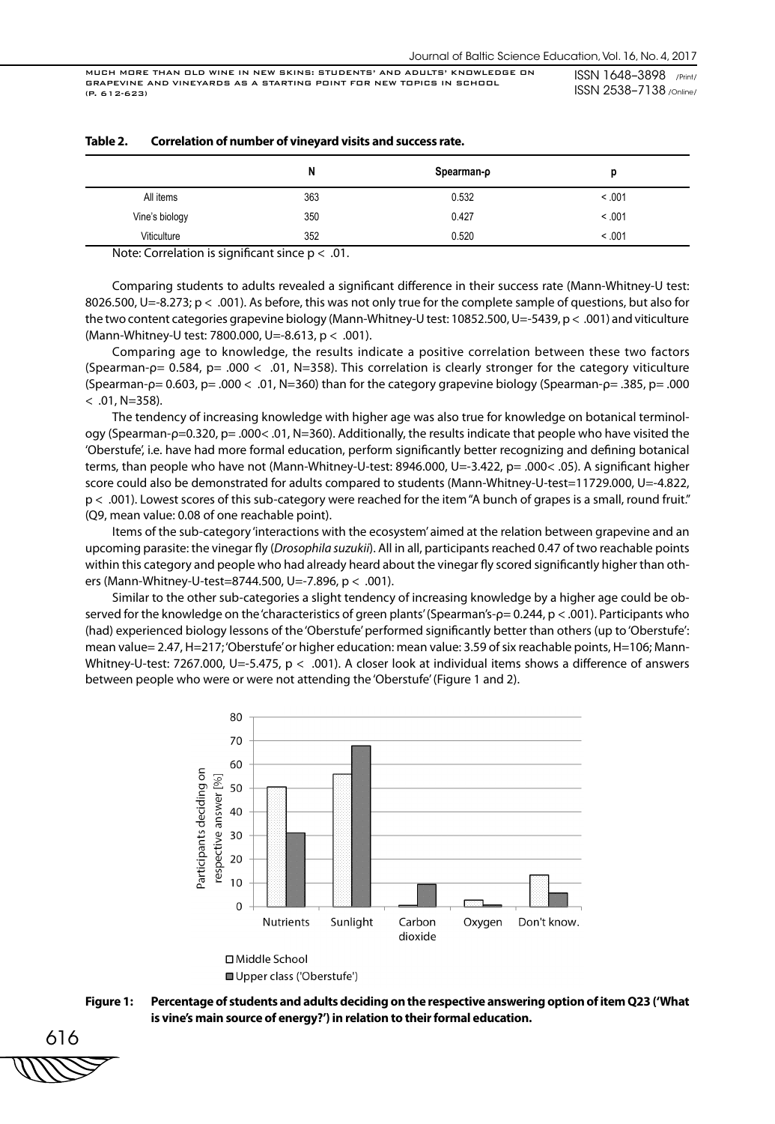|                | N   | Spearman-p |         |
|----------------|-----|------------|---------|
| All items      | 363 | 0.532      | < 0.001 |
| Vine's biology | 350 | 0.427      | < 0.001 |
| Viticulture    | 352 | 0.520      | < .001  |

| Correlation of number of vineyard visits and success rate.<br>Table 2. |  |
|------------------------------------------------------------------------|--|
|------------------------------------------------------------------------|--|

Note: Correlation is significant since  $p < .01$ .

Comparing students to adults revealed a significant difference in their success rate (Mann-Whitney-U test: 8026.500, U=-8.273; p < .001). As before, this was not only true for the complete sample of questions, but also for the two content categories grapevine biology (Mann-Whitney-U test: 10852.500, U=-5439, p < .001) and viticulture (Mann-Whitney-U test: 7800.000, U=-8.613, p < .001).

Comparing age to knowledge, the results indicate a positive correlation between these two factors (Spearman-ρ= 0.584, p= .000 < .01, N=358). This correlation is clearly stronger for the category viticulture (Spearman-ρ= 0.603, p= .000 < .01, N=360) than for the category grapevine biology (Spearman-ρ= .385, p= .000  $< .01$ , N=358).

The tendency of increasing knowledge with higher age was also true for knowledge on botanical terminology (Spearman-ρ=0.320, p= .000< .01, N=360). Additionally, the results indicate that people who have visited the 'Oberstufe', i.e. have had more formal education, perform significantly better recognizing and defining botanical terms, than people who have not (Mann-Whitney-U-test: 8946.000, U=-3.422, p= .000< .05). A significant higher score could also be demonstrated for adults compared to students (Mann-Whitney-U-test=11729.000, U=-4.822, p < .001). Lowest scores of this sub-category were reached for the item "A bunch of grapes is a small, round fruit." (Q9, mean value: 0.08 of one reachable point).

Items of the sub-category 'interactions with the ecosystem' aimed at the relation between grapevine and an upcoming parasite: the vinegar fly (*Drosophila suzukii*). All in all, participants reached 0.47 of two reachable points within this category and people who had already heard about the vinegar fly scored significantly higher than others (Mann-Whitney-U-test=8744.500, U=-7.896, p < .001).

Similar to the other sub-categories a slight tendency of increasing knowledge by a higher age could be observed for the knowledge on the 'characteristics of green plants' (Spearman's-ρ= 0.244, p < .001). Participants who (had) experienced biology lessons of the 'Oberstufe' performed significantly better than others (up to 'Oberstufe': mean value= 2.47, H=217; 'Oberstufe' or higher education: mean value: 3.59 of six reachable points, H=106; Mann-Whitney-U-test: 7267.000, U=-5.475, p < .001). A closer look at individual items shows a difference of answers between people who were or were not attending the 'Oberstufe' (Figure 1 and 2).





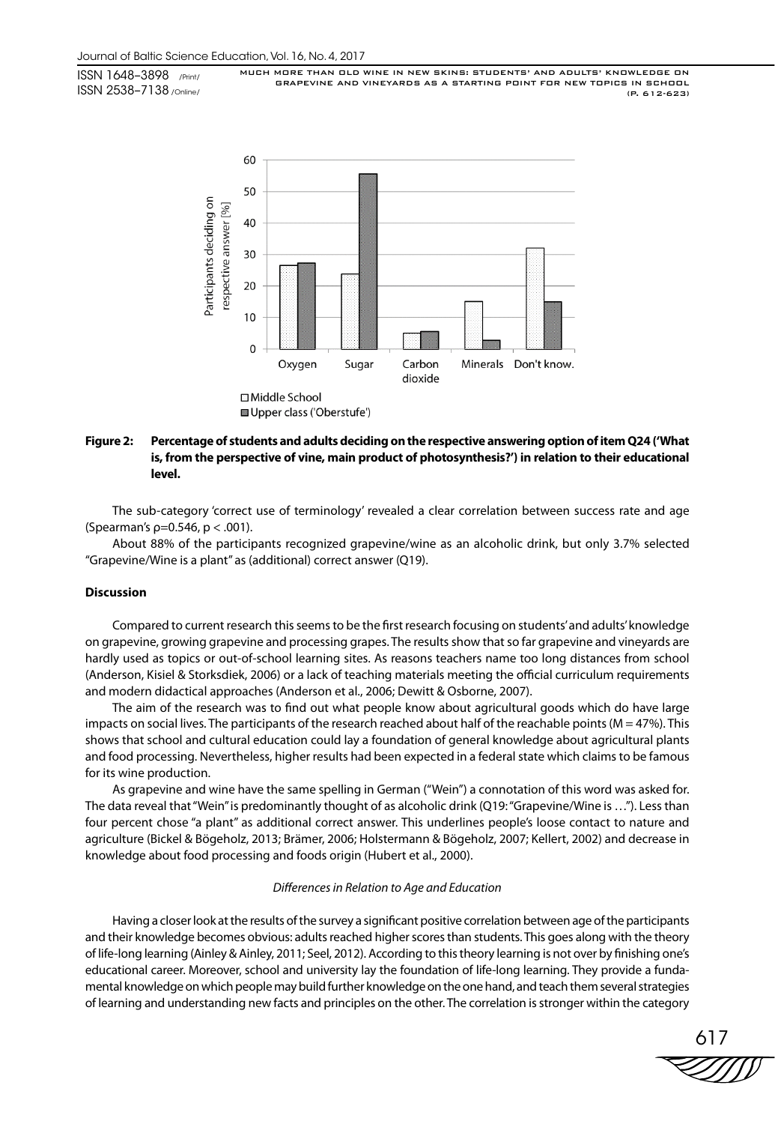MUCH MORE THAN OLD WINE IN NEW SKINS: STUDENTS' AND ADULTS' KNOWLEDGE ON GRAPEVINE AND VINEYARDS AS A STARTING POINT FOR NEW TOPICS IN SCHOOL (P. 612-623)



# **Figure 2: Percentage of students and adults deciding on the respective answering option of item Q24 ('What is, from the perspective of vine, main product of photosynthesis?') in relation to their educational level.**

The sub-category 'correct use of terminology' revealed a clear correlation between success rate and age (Spearman's  $p=0.546$ ,  $p < .001$ ).

About 88% of the participants recognized grapevine/wine as an alcoholic drink, but only 3.7% selected "Grapevine/Wine is a plant" as (additional) correct answer (Q19).

## **Discussion**

Compared to current research this seems to be the first research focusing on students' and adults' knowledge on grapevine, growing grapevine and processing grapes. The results show that so far grapevine and vineyards are hardly used as topics or out-of-school learning sites. As reasons teachers name too long distances from school (Anderson, Kisiel & Storksdiek, 2006) or a lack of teaching materials meeting the official curriculum requirements and modern didactical approaches (Anderson et al., 2006; Dewitt & Osborne, 2007).

The aim of the research was to find out what people know about agricultural goods which do have large impacts on social lives. The participants of the research reached about half of the reachable points (M = 47%). This shows that school and cultural education could lay a foundation of general knowledge about agricultural plants and food processing. Nevertheless, higher results had been expected in a federal state which claims to be famous for its wine production.

As grapevine and wine have the same spelling in German ("Wein") a connotation of this word was asked for. The data reveal that "Wein" is predominantly thought of as alcoholic drink (Q19: "Grapevine/Wine is …"). Less than four percent chose "a plant" as additional correct answer. This underlines people's loose contact to nature and agriculture (Bickel & Bögeholz, 2013; Brämer, 2006; Holstermann & Bögeholz, 2007; Kellert, 2002) and decrease in knowledge about food processing and foods origin (Hubert et al., 2000).

# *Differences in Relation to Age and Education*

Having a closer look at the results of the survey a significant positive correlation between age of the participants and their knowledge becomes obvious: adults reached higher scores than students. This goes along with the theory of life-long learning (Ainley & Ainley, 2011; Seel, 2012). According to this theory learning is not over by finishing one's educational career. Moreover, school and university lay the foundation of life-long learning. They provide a fundamental knowledge on which people may build further knowledge on the one hand, and teach them several strategies of learning and understanding new facts and principles on the other. The correlation is stronger within the category

617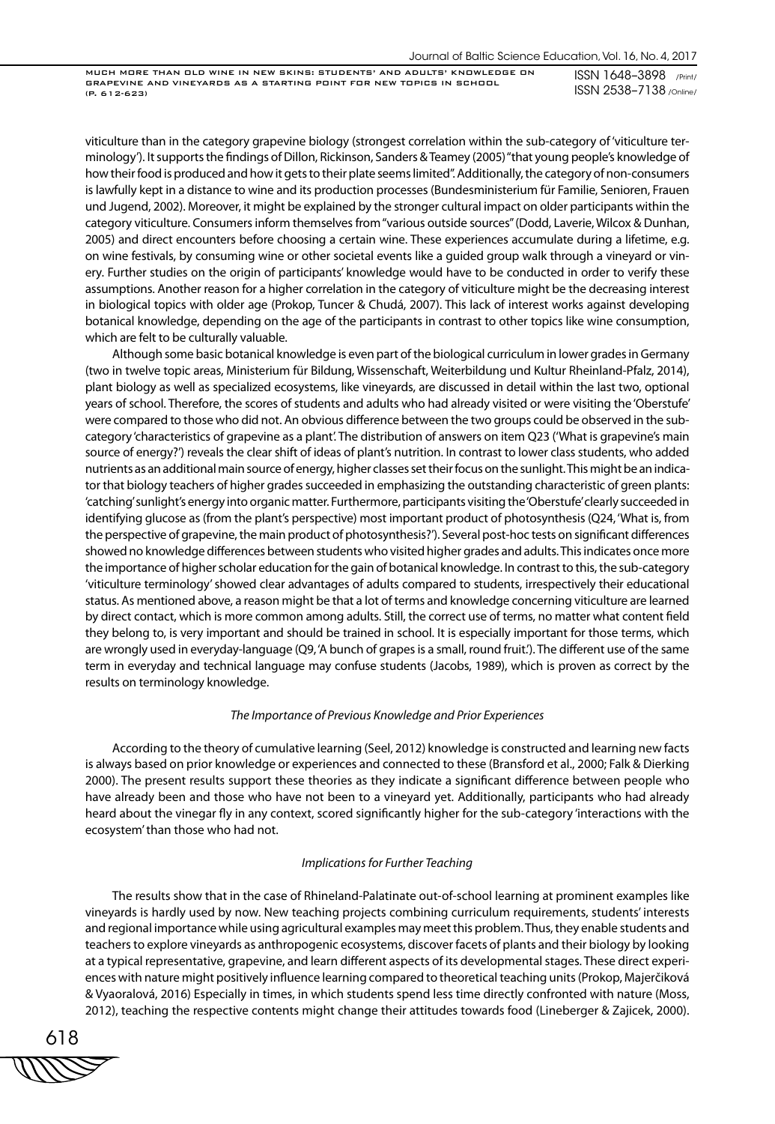MUCH MORE THAN OLD WINE IN NEW SKINS: STUDENTS' AND ADULTS' KNOWLEDGE ON GRAPEVINE AND VINEYARDS AS A STARTING POINT FOR NEW TOPICS IN SCHOOL (P. 612-623)

ISSN 1648–3898 /Print/ ISSN 2538–7138 /Online/

viticulture than in the category grapevine biology (strongest correlation within the sub-category of 'viticulture terminology'). It supports the findings of Dillon, Rickinson, Sanders & Teamey (2005) "that young people's knowledge of how their food is produced and how it gets to their plate seems limited". Additionally, the category of non-consumers is lawfully kept in a distance to wine and its production processes (Bundesministerium für Familie, Senioren, Frauen und Jugend, 2002). Moreover, it might be explained by the stronger cultural impact on older participants within the category viticulture. Consumers inform themselves from "various outside sources" (Dodd, Laverie, Wilcox & Dunhan, 2005) and direct encounters before choosing a certain wine. These experiences accumulate during a lifetime, e.g. on wine festivals, by consuming wine or other societal events like a guided group walk through a vineyard or vinery. Further studies on the origin of participants' knowledge would have to be conducted in order to verify these assumptions. Another reason for a higher correlation in the category of viticulture might be the decreasing interest in biological topics with older age (Prokop, Tuncer & Chudá, 2007). This lack of interest works against developing botanical knowledge, depending on the age of the participants in contrast to other topics like wine consumption, which are felt to be culturally valuable.

Although some basic botanical knowledge is even part of the biological curriculum in lower grades in Germany (two in twelve topic areas, Ministerium für Bildung, Wissenschaft, Weiterbildung und Kultur Rheinland-Pfalz, 2014), plant biology as well as specialized ecosystems, like vineyards, are discussed in detail within the last two, optional years of school. Therefore, the scores of students and adults who had already visited or were visiting the 'Oberstufe' were compared to those who did not. An obvious difference between the two groups could be observed in the subcategory 'characteristics of grapevine as a plant'. The distribution of answers on item Q23 ('What is grapevine's main source of energy?') reveals the clear shift of ideas of plant's nutrition. In contrast to lower class students, who added nutrients as an additional main source of energy, higher classes set their focus on the sunlight. This might be an indicator that biology teachers of higher grades succeeded in emphasizing the outstanding characteristic of green plants: 'catching' sunlight's energy into organic matter. Furthermore, participants visiting the 'Oberstufe' clearly succeeded in identifying glucose as (from the plant's perspective) most important product of photosynthesis (Q24, 'What is, from the perspective of grapevine, the main product of photosynthesis?'). Several post-hoc tests on significant differences showed no knowledge differences between students who visited higher grades and adults. This indicates once more the importance of higher scholar education for the gain of botanical knowledge. In contrast to this, the sub-category 'viticulture terminology' showed clear advantages of adults compared to students, irrespectively their educational status. As mentioned above, a reason might be that a lot of terms and knowledge concerning viticulture are learned by direct contact, which is more common among adults. Still, the correct use of terms, no matter what content field they belong to, is very important and should be trained in school. It is especially important for those terms, which are wrongly used in everyday-language (Q9, 'A bunch of grapes is a small, round fruit.'). The different use of the same term in everyday and technical language may confuse students (Jacobs, 1989), which is proven as correct by the results on terminology knowledge.

## *The Importance of Previous Knowledge and Prior Experiences*

According to the theory of cumulative learning (Seel, 2012) knowledge is constructed and learning new facts is always based on prior knowledge or experiences and connected to these (Bransford et al., 2000; Falk & Dierking 2000). The present results support these theories as they indicate a significant difference between people who have already been and those who have not been to a vineyard yet. Additionally, participants who had already heard about the vinegar fly in any context, scored significantly higher for the sub-category 'interactions with the ecosystem' than those who had not.

# *Implications for Further Teaching*

The results show that in the case of Rhineland-Palatinate out-of-school learning at prominent examples like vineyards is hardly used by now. New teaching projects combining curriculum requirements, students' interests and regional importance while using agricultural examples may meet this problem. Thus, they enable students and teachers to explore vineyards as anthropogenic ecosystems, discover facets of plants and their biology by looking at a typical representative, grapevine, and learn different aspects of its developmental stages. These direct experiences with nature might positively influence learning compared to theoretical teaching units (Prokop, Majerčiková & Vyaoralová, 2016) Especially in times, in which students spend less time directly confronted with nature (Moss, 2012), teaching the respective contents might change their attitudes towards food (Lineberger & Zajicek, 2000).

618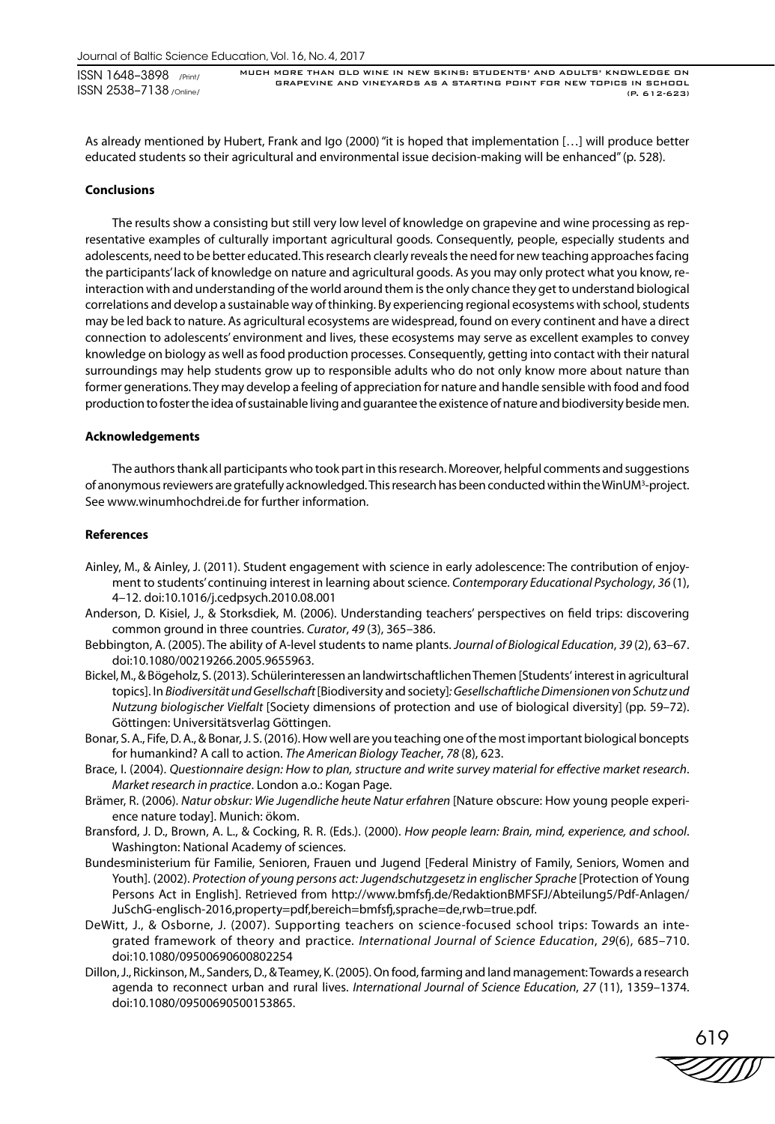As already mentioned by Hubert, Frank and Igo (2000) "it is hoped that implementation […] will produce better educated students so their agricultural and environmental issue decision-making will be enhanced" (p. 528).

#### **Conclusions**

The results show a consisting but still very low level of knowledge on grapevine and wine processing as representative examples of culturally important agricultural goods. Consequently, people, especially students and adolescents, need to be better educated. This research clearly reveals the need for new teaching approaches facing the participants' lack of knowledge on nature and agricultural goods. As you may only protect what you know, reinteraction with and understanding of the world around them is the only chance they get to understand biological correlations and develop a sustainable way of thinking. By experiencing regional ecosystems with school, students may be led back to nature. As agricultural ecosystems are widespread, found on every continent and have a direct connection to adolescents' environment and lives, these ecosystems may serve as excellent examples to convey knowledge on biology as well as food production processes. Consequently, getting into contact with their natural surroundings may help students grow up to responsible adults who do not only know more about nature than former generations. They may develop a feeling of appreciation for nature and handle sensible with food and food production to foster the idea of sustainable living and guarantee the existence of nature and biodiversity beside men.

## **Acknowledgements**

The authors thank all participants who took part in this research. Moreover, helpful comments and suggestions of anonymous reviewers are gratefully acknowledged. This research has been conducted within the WinUM<sup>3</sup>-project. See www.winumhochdrei.de for further information.

#### **References**

- Ainley, M., & Ainley, J. (2011). Student engagement with science in early adolescence: The contribution of enjoyment to students' continuing interest in learning about science. *Contemporary Educational Psychology*, *36* (1), 4–12. doi:10.1016/j.cedpsych.2010.08.001
- Anderson, D. Kisiel, J., & Storksdiek, M. (2006). Understanding teachers' perspectives on field trips: discovering common ground in three countries. *Curator*, *49* (3), 365–386.
- Bebbington, A. (2005). The ability of A-level students to name plants. *Journal of Biological Education*, *39* (2), 63–67. doi:10.1080/00219266.2005.9655963.
- Bickel, M., & Bögeholz, S. (2013). Schülerinteressen an landwirtschaftlichen Themen [Students' interest in agricultural topics]. In *Biodiversität und Gesellschaft* [Biodiversity and society]*: Gesellschaftliche Dimensionen von Schutz und Nutzung biologischer Vielfalt* [Society dimensions of protection and use of biological diversity] (pp. 59–72). Göttingen: Universitätsverlag Göttingen.
- Bonar, S. A., Fife, D. A., & Bonar, J. S. (2016). How well are you teaching one of the most important biological boncepts for humankind? A call to action. *The American Biology Teacher*, *78* (8), 623.
- Brace, I. (2004). *Questionnaire design: How to plan, structure and write survey material for effective market research*. *Market research in practice*. London a.o.: Kogan Page.
- Brämer, R. (2006). *Natur obskur: Wie Jugendliche heute Natur erfahren* [Nature obscure: How young people experience nature today]. Munich: ökom.
- Bransford, J. D., Brown, A. L., & Cocking, R. R. (Eds.). (2000). *How people learn: Brain, mind, experience, and school*. Washington: National Academy of sciences.
- Bundesministerium für Familie, Senioren, Frauen und Jugend [Federal Ministry of Family, Seniors, Women and Youth]. (2002). Protection of young persons act: Jugendschutzgesetz in englischer Sprache [Protection of Young Persons Act in English]. Retrieved from http://www.bmfsfj.de/RedaktionBMFSFJ/Abteilung5/Pdf-Anlagen/ JuSchG-englisch-2016,property=pdf,bereich=bmfsfj,sprache=de,rwb=true.pdf.
- DeWitt, J., & Osborne, J. (2007). Supporting teachers on science-focused school trips: Towards an integrated framework of theory and practice. *International Journal of Science Education*, *29*(6), 685–710. doi:10.1080/09500690600802254
- Dillon, J., Rickinson, M., Sanders, D., & Teamey, K. (2005). On food, farming and land management: Towards a research agenda to reconnect urban and rural lives. *International Journal of Science Education*, *27* (11), 1359–1374. doi:10.1080/09500690500153865.

619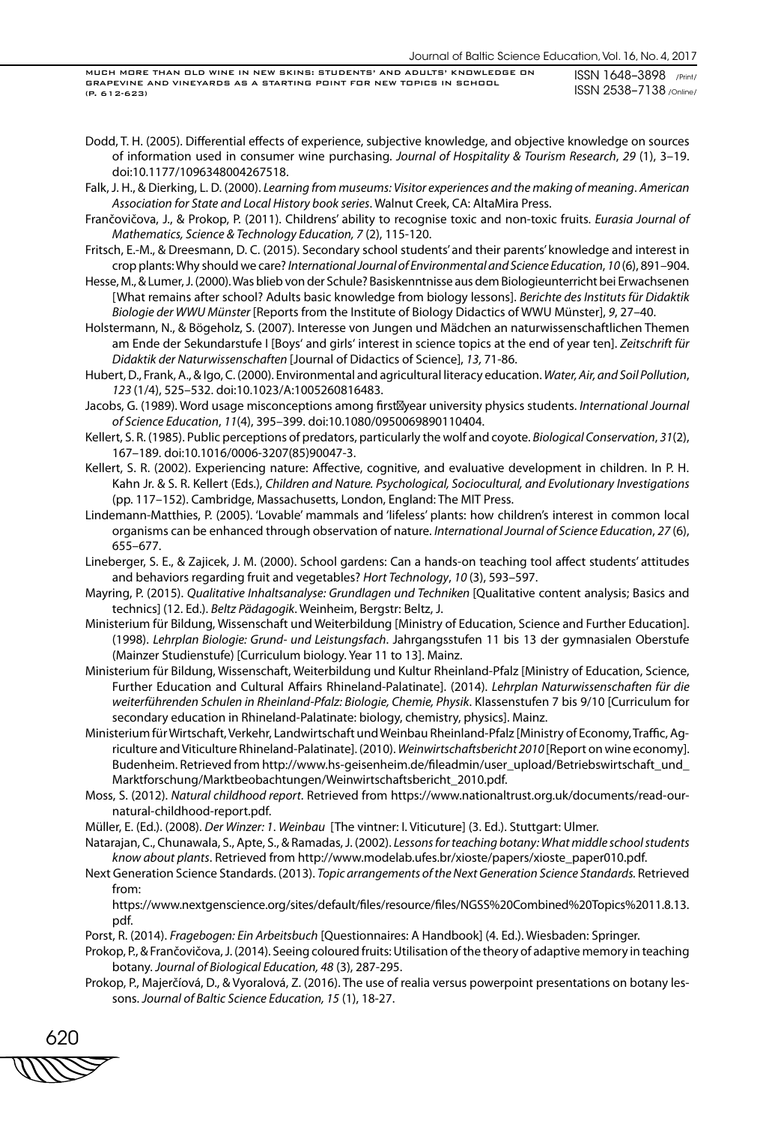MUCH MORE THAN OLD WINE IN NEW SKINS: STUDENTS' AND ADULTS' KNOWLEDGE ON GRAPEVINE AND VINEYARDS AS A STARTING POINT FOR NEW TOPICS IN SCHOOL (P. 612-623)

ISSN 1648–3898 /Print/ ISSN 2538–7138 /Online/

- Dodd, T. H. (2005). Differential effects of experience, subjective knowledge, and objective knowledge on sources of information used in consumer wine purchasing. *Journal of Hospitality & Tourism Research*, *29* (1), 3–19. doi:10.1177/1096348004267518.
- Falk, J. H., & Dierking, L. D. (2000). *Learning from museums: Visitor experiences and the making of meaning*. *American Association for State and Local History book series*. Walnut Creek, CA: AltaMira Press.
- Frančovičova, J., & Prokop, P. (2011). Childrens' ability to recognise toxic and non-toxic fruits. *Eurasia Journal of Mathematics, Science & Technology Education, 7* (2), 115-120.
- Fritsch, E.-M., & Dreesmann, D. C. (2015). Secondary school students' and their parents' knowledge and interest in crop plants: Why should we care? *International Journal of Environmental and Science Education*, *10* (6), 891–904.
- Hesse, M., & Lumer, J. (2000). Was blieb von der Schule? Basiskenntnisse aus dem Biologieunterricht bei Erwachsenen [What remains after school? Adults basic knowledge from biology lessons]. *Berichte des Instituts für Didaktik Biologie der WWU Münster* [Reports from the Institute of Biology Didactics of WWU Münster], *9*, 27–40.
- Holstermann, N., & Bögeholz, S. (2007). Interesse von Jungen und Mädchen an naturwissenschaftlichen Themen am Ende der Sekundarstufe I [Boys' and girls' interest in science topics at the end of year ten]. *Zeitschrift für Didaktik der Naturwissenschaften* [Journal of Didactics of Science], *13,* 71-86.
- Hubert, D., Frank, A., & Igo, C. (2000). Environmental and agricultural literacy education. *Water, Air, and Soil Pollution*, *123* (1/4), 525–532. doi:10.1023/A:1005260816483.
- Jacobs, G. (1989). Word usage misconceptions among first year university physics students. *International Journal of Science Education*, *11*(4), 395–399. doi:10.1080/0950069890110404.
- Kellert, S. R. (1985). Public perceptions of predators, particularly the wolf and coyote. *Biological Conservation*, *31*(2), 167–189. doi:10.1016/0006-3207(85)90047-3.
- Kellert, S. R. (2002). Experiencing nature: Affective, cognitive, and evaluative development in children. In P. H. Kahn Jr. & S. R. Kellert (Eds.), *Children and Nature. Psychological, Sociocultural, and Evolutionary Investigations*  (pp. 117–152). Cambridge, Massachusetts, London, England: The MIT Press.
- Lindemann-Matthies, P. (2005). 'Lovable' mammals and 'lifeless' plants: how children's interest in common local organisms can be enhanced through observation of nature. *International Journal of Science Education*, *27* (6), 655–677.
- Lineberger, S. E., & Zajicek, J. M. (2000). School gardens: Can a hands-on teaching tool affect students' attitudes and behaviors regarding fruit and vegetables? *Hort Technology*, *10* (3), 593–597.
- Mayring, P. (2015). *Qualitative Inhaltsanalyse: Grundlagen und Techniken* [Qualitative content analysis; Basics and technics] (12. Ed.). *Beltz Pädagogik*. Weinheim, Bergstr: Beltz, J.
- Ministerium für Bildung, Wissenschaft und Weiterbildung [Ministry of Education, Science and Further Education]. (1998). *Lehrplan Biologie: Grund- und Leistungsfach*. Jahrgangsstufen 11 bis 13 der gymnasialen Oberstufe (Mainzer Studienstufe) [Curriculum biology. Year 11 to 13]. Mainz.
- Ministerium für Bildung, Wissenschaft, Weiterbildung und Kultur Rheinland-Pfalz [Ministry of Education, Science, Further Education and Cultural Affairs Rhineland-Palatinate]. (2014). *Lehrplan Naturwissenschaften für die weiterführenden Schulen in Rheinland-Pfalz: Biologie, Chemie, Physik*. Klassenstufen 7 bis 9/10 [Curriculum for secondary education in Rhineland-Palatinate: biology, chemistry, physics]. Mainz.
- Ministerium für Wirtschaft, Verkehr, Landwirtschaft und Weinbau Rheinland-Pfalz [Ministry of Economy, Traffic, Agriculture and Viticulture Rhineland-Palatinate]. (2010). *Weinwirtschaftsbericht 2010* [Report on wine economy]. Budenheim. Retrieved from http://www.hs-geisenheim.de/fileadmin/user\_upload/Betriebswirtschaft\_und\_ Marktforschung/Marktbeobachtungen/Weinwirtschaftsbericht\_2010.pdf.
- Moss, S. (2012). *Natural childhood report*. Retrieved from https://www.nationaltrust.org.uk/documents/read-ournatural-childhood-report.pdf.
- Müller, E. (Ed.). (2008). *Der Winzer: 1*. *Weinbau* [The vintner: I. Viticuture] (3. Ed.). Stuttgart: Ulmer.
- Natarajan, C., Chunawala, S., Apte, S., & Ramadas, J. (2002). *Lessons for teaching botany: What middle school students know about plants*. Retrieved from http://www.modelab.ufes.br/xioste/papers/xioste\_paper010.pdf.
- Next Generation Science Standards. (2013). *Topic arrangements of the Next Generation Science Standards.* Retrieved from:

https://www.nextgenscience.org/sites/default/files/resource/files/NGSS%20Combined%20Topics%2011.8.13. pdf.

Porst, R. (2014). *Fragebogen: Ein Arbeitsbuch* [Questionnaires: A Handbook] (4. Ed.). Wiesbaden: Springer.

- Prokop, P., & Frančovičova, J. (2014). Seeing coloured fruits: Utilisation of the theory of adaptive memory in teaching botany. *Journal of Biological Education, 48* (3), 287-295.
- Prokop, P., Majerčíová, D., & Vyoralová, Z. (2016). The use of realia versus powerpoint presentations on botany lessons. *Journal of Baltic Science Education, 15* (1), 18-27.

620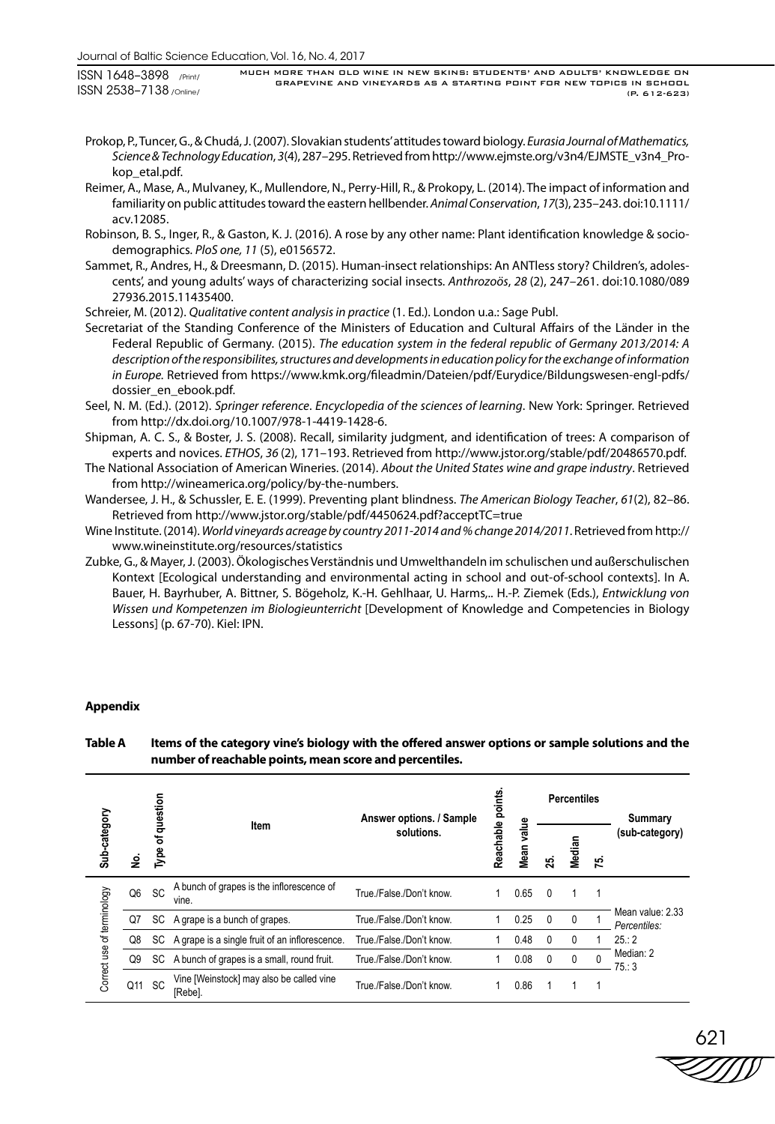Journal of Baltic Science Education, Vol. 16, No. 4, 2017

ISSN 1648–3898 /Print/ ISSN 2538–7138 /Online/ MUCH MORE THAN OLD WINE IN NEW SKINS: STUDENTS' AND ADULTS' KNOWLEDGE ON GRAPEVINE AND VINEYARDS AS A STARTING POINT FOR NEW TOPICS IN SCHOOL (P. 612-623)

- Prokop, P., Tuncer, G., & Chudá, J. (2007). Slovakian students' attitudes toward biology. *Eurasia Journal of Mathematics, Science & Technology Education*, *3*(4), 287–295. Retrieved from http://www.ejmste.org/v3n4/EJMSTE\_v3n4\_Prokop\_etal.pdf.
- Reimer, A., Mase, A., Mulvaney, K., Mullendore, N., Perry-Hill, R., & Prokopy, L. (2014). The impact of information and familiarity on public attitudes toward the eastern hellbender. *Animal Conservation*, *17*(3), 235–243. doi:10.1111/ acv.12085.
- Robinson, B. S., Inger, R., & Gaston, K. J. (2016). A rose by any other name: Plant identification knowledge & sociodemographics*. PloS one, 11* (5), e0156572.
- Sammet, R., Andres, H., & Dreesmann, D. (2015). Human-insect relationships: An ANTless story? Children's, adolescents', and young adults' ways of characterizing social insects. *Anthrozoös*, *28* (2), 247–261. doi:10.1080/089 27936.2015.11435400.
- Schreier, M. (2012). *Qualitative content analysis in practice* (1. Ed.). London u.a.: Sage Publ.
- Secretariat of the Standing Conference of the Ministers of Education and Cultural Affairs of the Länder in the Federal Republic of Germany. (2015). *The education system in the federal republic of Germany 2013/2014: A description of the responsibilites, structures and developments in education policy for the exchange of information in Europe.* Retrieved from https://www.kmk.org/fileadmin/Dateien/pdf/Eurydice/Bildungswesen-engl-pdfs/ dossier\_en\_ebook.pdf.
- Seel, N. M. (Ed.). (2012). *Springer reference*. *Encyclopedia of the sciences of learning*. New York: Springer. Retrieved from http://dx.doi.org/10.1007/978-1-4419-1428-6.
- Shipman, A. C. S., & Boster, J. S. (2008). Recall, similarity judgment, and identification of trees: A comparison of experts and novices. *ETHOS*, *36* (2), 171–193. Retrieved from http://www.jstor.org/stable/pdf/20486570.pdf.
- The National Association of American Wineries. (2014). *About the United States wine and grape industry*. Retrieved from http://wineamerica.org/policy/by-the-numbers.
- Wandersee, J. H., & Schussler, E. E. (1999). Preventing plant blindness. *The American Biology Teacher*, *61*(2), 82–86. Retrieved from http://www.jstor.org/stable/pdf/4450624.pdf?acceptTC=true
- Wine Institute. (2014). *World vineyards acreage by country 2011-2014 and % change 2014/2011*. Retrieved from http:// www.wineinstitute.org/resources/statistics
- Zubke, G., & Mayer, J. (2003). Ökologisches Verständnis und Umwelthandeln im schulischen und außerschulischen Kontext [Ecological understanding and environmental acting in school and out-of-school contexts]. In A. Bauer, H. Bayrhuber, A. Bittner, S. Bögeholz, K.-H. Gehlhaar, U. Harms,.. H.-P. Ziemek (Eds.), *Entwicklung von Wissen und Kompetenzen im Biologieunterricht* [Development of Knowledge and Competencies in Biology Lessons] (p. 67-70). Kiel: IPN.

# **Appendix**

# **Table A Items of the category vine's biology with the offered answer options or sample solutions and the number of reachable points, mean score and percentiles.**

|                            |     | question  |                                                    | Answer options. / Sample |  |               | <b>Percentiles</b> |              |          | Summary                          |  |
|----------------------------|-----|-----------|----------------------------------------------------|--------------------------|--|---------------|--------------------|--------------|----------|----------------------------------|--|
| Sub-category<br>ş          |     | ৳<br>Type | Item                                               | solutions.               |  | value<br>Mean | 25                 | Median       | 75.      | (sub-category)                   |  |
| Correct use of terminology | Q6  | <b>SC</b> | A bunch of grapes is the inflorescence of<br>vine. | True /False /Don't know. |  | 0.65          | $\Omega$           |              |          |                                  |  |
|                            | Q7  | SC.       | A grape is a bunch of grapes.                      | True /False /Don't know. |  | 0.25          | $\Omega$           | 0            |          | Mean value: 2.33<br>Percentiles: |  |
|                            | Q8  | SC        | A grape is a single fruit of an inflorescence.     | True /False /Don't know. |  | 0.48          | 0                  | $\mathbf{0}$ |          | 25:2                             |  |
|                            | Q9  | SC.       | A bunch of grapes is a small, round fruit.         | True /False /Don't know. |  | 0.08          | $\Omega$           | 0            | $\Omega$ | Median: 2<br>75:3                |  |
|                            | Q11 | <b>SC</b> | Vine [Weinstock] may also be called vine<br>[Rebe] | True./False./Don't know. |  | 0.86          |                    |              |          |                                  |  |

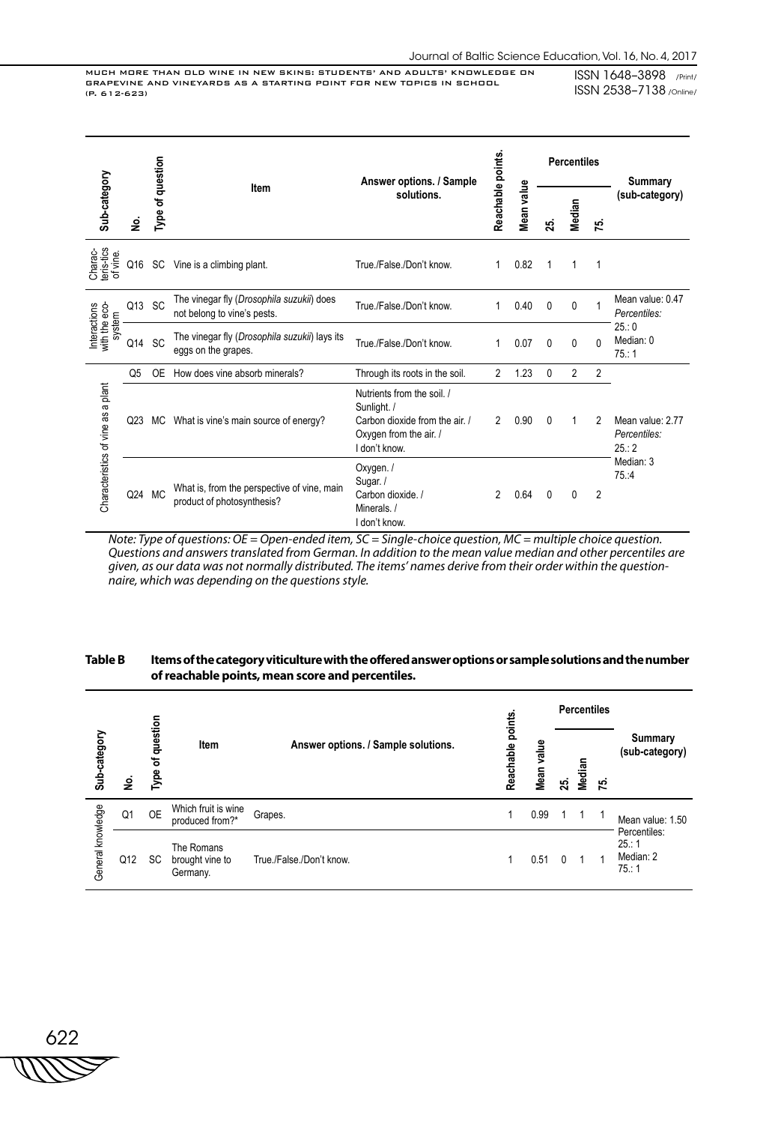MUCH MORE THAN OLD WINE IN NEW SKINS: STUDENTS' AND ADULTS' KNOWLEDGE ON GRAPEVINE AND VINEYARDS AS A STARTING POINT FOR NEW TOPICS IN SCHOOL (P. 612-623)

ISSN 1648–3898 /Print/ ISSN 2538–7138 /Online/

|                                         |                 | Type of question<br>Answer options. / Sample |                                                                           | Reachable points                                                                                                       |                | <b>Percentiles</b> |          |                | Summary        |                                          |  |
|-----------------------------------------|-----------------|----------------------------------------------|---------------------------------------------------------------------------|------------------------------------------------------------------------------------------------------------------------|----------------|--------------------|----------|----------------|----------------|------------------------------------------|--|
| Sub-category                            | ۊ               |                                              | Item                                                                      | solutions.                                                                                                             |                | Mean value         | స్       | Median         | だ              | (sub-category)                           |  |
| Charac-<br>teris-tics<br>of vine.       | Q16             |                                              | SC Vine is a climbing plant.                                              | True./False./Don't know.                                                                                               | 1              | 0.82               |          | 1              | 1              |                                          |  |
|                                         | Q13             | SC                                           | The vinegar fly (Drosophila suzukii) does<br>not belong to vine's pests.  | True./False./Don't know.                                                                                               | 1              | 0.40               | 0        | 0              | 1              | Mean value: 0.47<br>Percentiles:         |  |
| Interactions<br>with the eco-<br>system | Q14             | SC                                           | The vinegar fly (Drosophila suzukii) lays its<br>eggs on the grapes.      | True./False./Don't know.                                                                                               | 1              | 0.07               | 0        | $\mathbf{0}$   | $\Omega$       | 25:0<br>Median: 0<br>75:1                |  |
|                                         | Q5              | <b>OE</b>                                    | How does vine absorb minerals?                                            | Through its roots in the soil.                                                                                         | $\overline{2}$ | 1.23               | 0        | $\overline{2}$ | $\overline{2}$ |                                          |  |
| Characteristics of vine as a plant      | Q <sub>23</sub> | МC                                           | What is vine's main source of energy?                                     | Nutrients from the soil. /<br>Sunlight. /<br>Carbon dioxide from the air. /<br>Oxygen from the air. /<br>I don't know. | 2              | 0.90               | $\Omega$ | 1              | 2              | Mean value: 2.77<br>Percentiles:<br>25:2 |  |
|                                         | Q24 MC          |                                              | What is, from the perspective of vine, main<br>product of photosynthesis? | Oxygen./<br>Sugar./<br>Carbon dioxide. /<br>Minerals./<br>I don't know.                                                | $\mathfrak{p}$ | 0.64               | 0        | 0              | $\overline{2}$ | Median: 3<br>75.4                        |  |

*Note: Type of questions: OE = Open-ended item, SC = Single-choice question, MC = multiple choice question. Questions and answers translated from German. In addition to the mean value median and other percentiles are given, as our data was not normally distributed. The items' names derive from their order within the questionnaire, which was depending on the questions style.* 

# **Table B Items of the category viticulture with the offered answer options or sample solutions and the number of reachable points, mean score and percentiles.**

|                   |     |                  |                                           |                                     |                                                 |      |     | <b>Percentiles</b> |     |                                           |  |
|-------------------|-----|------------------|-------------------------------------------|-------------------------------------|-------------------------------------------------|------|-----|--------------------|-----|-------------------------------------------|--|
| Sub-category      | ş   | Type of question | Item                                      | Answer options. / Sample solutions. | Reachable points.<br>value<br>Mean <sup>1</sup> |      | 25. | Median             | 75. | Summary<br>(sub-category)                 |  |
|                   | Q1  | <b>OE</b>        | Which fruit is wine<br>produced from?*    | Grapes.                             |                                                 | 0.99 |     |                    |     | Mean value: 1.50                          |  |
| General knowledge | Q12 | SC.              | The Romans<br>brought vine to<br>Germany. | True /False /Don't know.            |                                                 | 0.51 |     |                    | и   | Percentiles:<br>25:1<br>Median: 2<br>75:1 |  |

622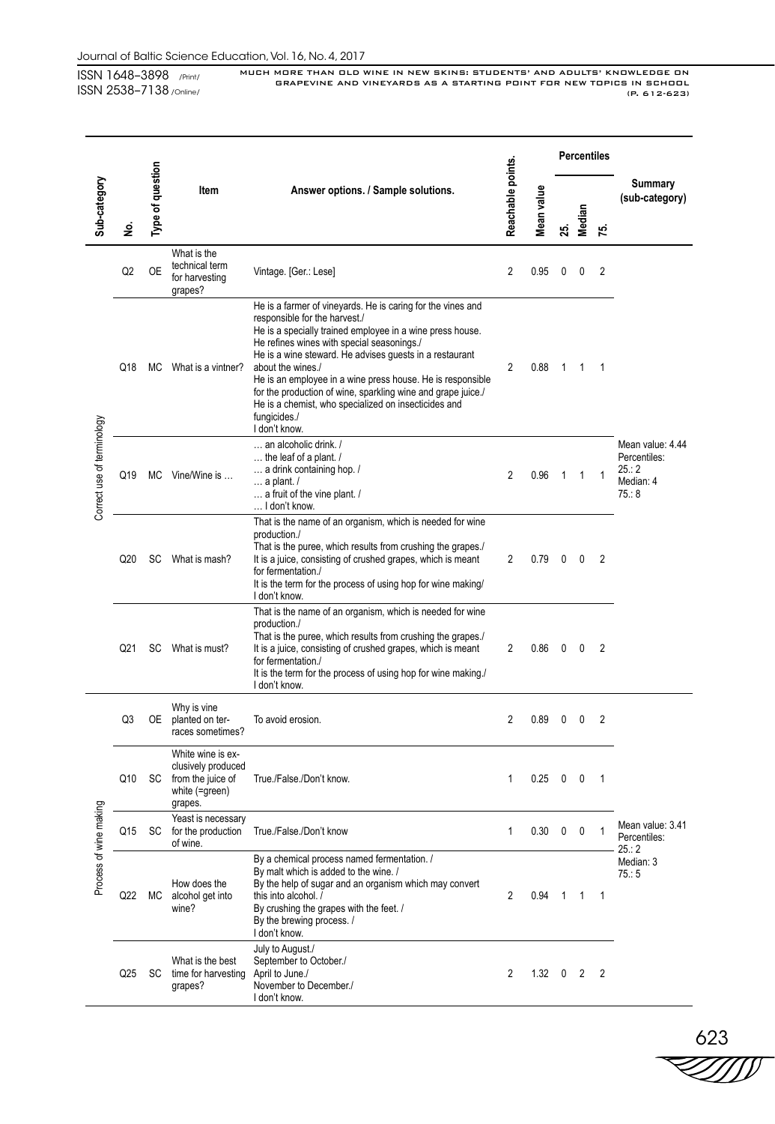MUCH MORE THAN OLD WINE IN NEW SKINS: STUDENTS' AND ADULTS' KNOWLEDGE ON GRAPEVINE AND VINEYARDS AS A STARTING POINT FOR NEW TOPICS IN SCHOOL (P. 612-623)

|                            |                 |                  |                                                                                           |                                                                                                                                                                                                                                                                                                                                                                                                                                                                                                                |                   |            | <b>Percentiles</b> |                |              |                                                               |
|----------------------------|-----------------|------------------|-------------------------------------------------------------------------------------------|----------------------------------------------------------------------------------------------------------------------------------------------------------------------------------------------------------------------------------------------------------------------------------------------------------------------------------------------------------------------------------------------------------------------------------------------------------------------------------------------------------------|-------------------|------------|--------------------|----------------|--------------|---------------------------------------------------------------|
| Sub-category               | ş               | Type of question | ltem                                                                                      | Answer options. / Sample solutions.                                                                                                                                                                                                                                                                                                                                                                                                                                                                            | Reachable points. | Mean value | 25.                | Median         | 75.          | Summary<br>(sub-category)                                     |
|                            | Q <sub>2</sub>  | <b>OE</b>        | What is the<br>technical term<br>for harvesting<br>grapes?                                | Vintage. [Ger.: Lese]                                                                                                                                                                                                                                                                                                                                                                                                                                                                                          | 2                 | 0.95       | 0                  | 0              | 2            |                                                               |
| Correct use of terminology | Q18             | МC               | What is a vintner?                                                                        | He is a farmer of vineyards. He is caring for the vines and<br>responsible for the harvest./<br>He is a specially trained employee in a wine press house.<br>He refines wines with special seasonings./<br>He is a wine steward. He advises guests in a restaurant<br>about the wines./<br>He is an employee in a wine press house. He is responsible<br>for the production of wine, sparkling wine and grape juice./<br>He is a chemist, who specialized on insecticides and<br>fungicides./<br>I don't know. | 2                 | 0.88       | 1                  | -1             | 1            |                                                               |
|                            | Q19             | МC               | Vine/Wine is                                                                              | an alcoholic drink. /<br>the leaf of a plant. /<br>a drink containing hop. /<br>$\ldots$ a plant. /<br>a fruit of the vine plant. /<br>I don't know.                                                                                                                                                                                                                                                                                                                                                           | $\overline{2}$    | 0.96       | 1                  | 1              | 1            | Mean value: 4.44<br>Percentiles:<br>25:2<br>Median: 4<br>75:8 |
|                            | Q20             | SC               | What is mash?                                                                             | That is the name of an organism, which is needed for wine<br>production./<br>That is the puree, which results from crushing the grapes./<br>It is a juice, consisting of crushed grapes, which is meant<br>for fermentation./<br>It is the term for the process of using hop for wine making/<br>I don't know.                                                                                                                                                                                                 | 2                 | 0.79       | 0                  | 0              | 2            |                                                               |
|                            | Q <sub>21</sub> | SC               | What is must?                                                                             | That is the name of an organism, which is needed for wine<br>production./<br>That is the puree, which results from crushing the grapes./<br>It is a juice, consisting of crushed grapes, which is meant<br>for fermentation./<br>It is the term for the process of using hop for wine making./<br>I don't know.                                                                                                                                                                                                | $\overline{2}$    | 0.86       | 0                  | 0              | 2            |                                                               |
|                            | Q3              | 0E               | Why is vine<br>planted on ter-<br>races sometimes?                                        | To avoid erosion.                                                                                                                                                                                                                                                                                                                                                                                                                                                                                              | 2                 | 0.89       | 0                  | 0              | 2            |                                                               |
|                            | Q10             | SC               | White wine is ex-<br>clusively produced<br>from the juice of<br>white (=green)<br>grapes. | True./False./Don't know.                                                                                                                                                                                                                                                                                                                                                                                                                                                                                       | 1                 | 0.25       | 0                  | 0              | 1            |                                                               |
|                            | Q15             | SC               | Yeast is necessary<br>for the production<br>of wine.                                      | True./False./Don't know                                                                                                                                                                                                                                                                                                                                                                                                                                                                                        | 1                 | 0.30       | 0                  | 0              | 1            | Mean value: 3.41<br>Percentiles:<br>25:2                      |
| Process of wine making     | Q22             | МC               | How does the<br>alcohol get into<br>wine?                                                 | By a chemical process named fermentation. /<br>By malt which is added to the wine. /<br>By the help of sugar and an organism which may convert<br>this into alcohol. /<br>By crushing the grapes with the feet. /<br>By the brewing process. /<br>I don't know.                                                                                                                                                                                                                                                | 2                 | 0.94       | 1                  | $\overline{1}$ | $\mathbf{1}$ | Median: 3<br>75:5                                             |
|                            | Q25             | SC               | What is the best<br>time for harvesting<br>grapes?                                        | July to August./<br>September to October./<br>April to June./<br>November to December./<br>I don't know.                                                                                                                                                                                                                                                                                                                                                                                                       | 2                 | 1.32       | 0                  | 2              | 2            |                                                               |

 $\overset{623}{\searrow}$